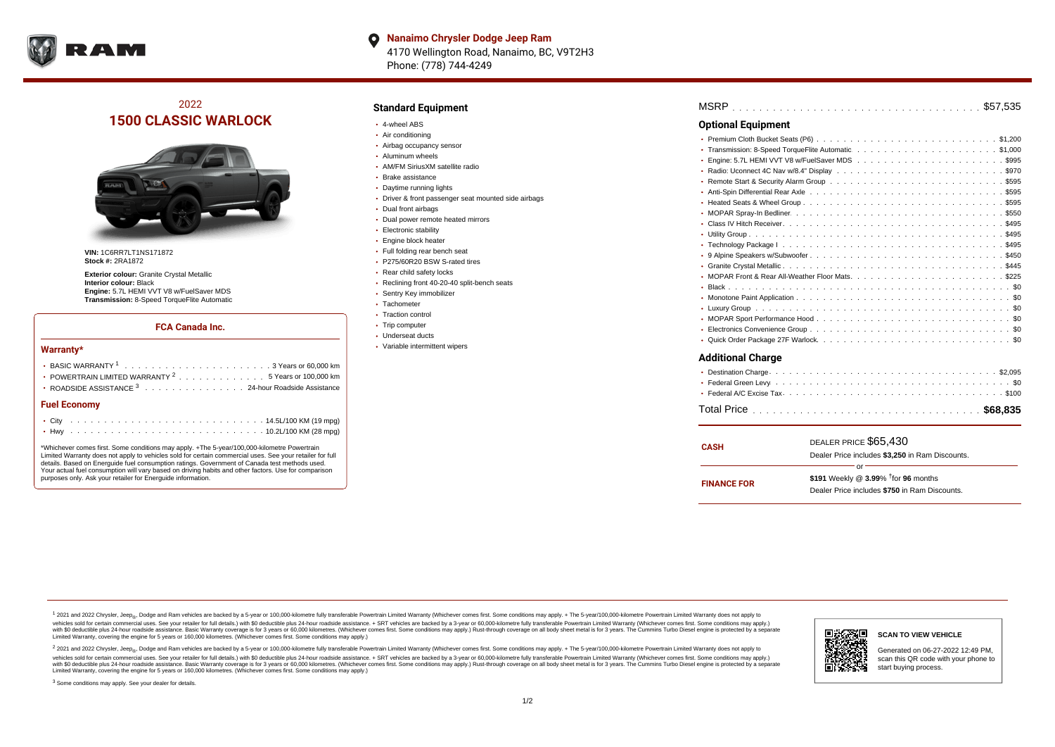

**Nanaimo Chrysler Dodge Jeep Ram**  $\bullet$ 4170 Wellington Road, Nanaimo, BC, V9T2H3 Phone: (778) 744-4249

# 2022 **1500 CLASSIC WARLOCK**



**VIN:** 1C6RR7LT1NS171872 **Stock #:** 2RA1872

**Exterior colour:** Granite Crystal Metallic **Interior colour:** Black **Engine:** 5.7L HEMI VVT V8 w/FuelSaver MDS **Transmission:** 8-Speed TorqueFlite Automatic

#### **FCA Canada Inc.**

#### **Warranty\***

| POWERTRAIN LIMITED WARRANTY $2, \ldots, \ldots, \ldots, \ldots, 5$ Years or 100,000 km |  |  |  |  |  |
|----------------------------------------------------------------------------------------|--|--|--|--|--|
| • ROADSIDE ASSISTANCE 3 24-hour Roadside Assistance                                    |  |  |  |  |  |
| <b>Fuel Economy</b>                                                                    |  |  |  |  |  |
|                                                                                        |  |  |  |  |  |

\*Whichever comes first. Some conditions may apply. +The 5-year/100,000-kilometre Powertrain Limited Warranty does not apply to vehicles sold for certain commercial uses. See your retailer for full details. Based on Energuide fuel consumption ratings. Government of Canada test methods used. Your actual fuel consumption will vary based on driving habits and other factors. Use for comparison purposes only. Ask your retailer for Energuide information.

. . . . . . . . . . . . . . . . . . . . . . . . . . . . . . . . . . . . . . . . . . . Hwy 10.2L/100 KM (28 mpg)

### **Standard Equipment**

- 4-wheel ABS
- Air conditioning
- Airbag occupancy sensor
- Aluminum wheels
- AM/FM SiriusXM satellite radio
- Brake assistance
- Daytime running lights
- Driver & front passenger seat mounted side airbags
- Dual front airbags
- Dual power remote heated mirrors
- **Electronic stability**
- Engine block heater
- Full folding rear bench seat
- P275/60R20 BSW S-rated tires
- Rear child safety locks
- Reclining front 40-20-40 split-bench seats
- Sentry Key immobilizer
- Tachometer • Traction control
- Trip computer
- Underseat ducts
- Variable intermittent wipers

| <b>Optional Equipment</b> |
|---------------------------|
|                           |
|                           |
|                           |
|                           |
|                           |
|                           |
|                           |
|                           |
|                           |
|                           |
|                           |
|                           |
|                           |
|                           |
|                           |
|                           |
|                           |
|                           |
|                           |
|                           |
| <b>Additional Charge</b>  |

| <b>CASH</b>        | DEALER PRICE \$65,430<br>Dealer Price includes \$3,250 in Ram Discounts.                                  |
|--------------------|-----------------------------------------------------------------------------------------------------------|
| <b>FINANCE FOR</b> | Ωr<br>\$191 Weekly @ $3.99\%$ <sup>†</sup> for 96 months<br>Dealer Price includes \$750 in Ram Discounts. |

<sup>1</sup> 2021 and 2022 Chrysler, Jeep<sub>®</sub>, Dodge and Ram vehicles are backed by a 5-year or 100,000-kilometre fully transferable Powertrain Limited Warranty (Whichever comes first. Some conditions may apply. + The 5-year/100,000 vehicles sold for certain commercial uses. See your retailer for full details.) with \$0 deductible plus 24 hour roadside assistance. + SRT vehicles are backed by a 3-year or 60,000-kilometre fully transferable Powertrain L versus and contract the mean of the contract of the contract with a contract with a contract the contract of the contract of the contract the contract of the contract of the contract of the contract of the contract of the Limited Warranty, covering the engine for 5 years or 160,000 kilometres. (Whichever comes first. Some conditions may apply.)

2 2021 and 2022 Chrysler, Jeep<sub>®</sub>, Dodge and Ram vehicles are backed by a 5-year or 100,000-kilometre fully transferable Powertrain Limited Warranty (Whichever comes first. Some conditions may apply. + The 5-year/100,000-k vehicles sold for certain commercial uses. See your retailer for full details.) with SO deductible plus 24-hour roadside assistance. + SRT vehicles are backed by a 3-year or 60.000-kilometre fully transferable Powertrain. with S0 deductible plus 24-hour roadside assistance. Basic Warranty coverage is for 3 years or 60,000 kilometres. (Whichever comes first. Some conditions may apply.) Rust-through coverage on all body sheet metal is for 3 y

<sup>3</sup> Some conditions may apply. See your dealer for details.



Generated on 06-27-2022 12:49 PM, scan this QR code with your phone to start buying process.